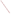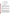# **ETV VERIFICATION STATEMENT**

## **Cone Penetrometer-Deployed Sensors: Site Characterization and Analysis Penetrometer System**

| Technology<br>Type: | Cone Penetrometer-Deployed Sensor                                                                                                  |
|---------------------|------------------------------------------------------------------------------------------------------------------------------------|
| Application:        | In-Situ Detection Of Petroleum Hydrocarbons                                                                                        |
| Technology<br>Name: | Site Characterization And Analysis Penetrometer System<br>(Scaps)                                                                  |
| Company:            | U.S. Navy, Naval Command, Control, And Ocean<br>Surveilance Center, Research, Developement,<br><b>Test and Evaluation Division</b> |
| Address:            | Mail Code 3604<br>San Diego, CA 92152-5000                                                                                         |
| Phone:              | 619-553-1172                                                                                                                       |

The U. S. Environmental Protection Agency (EPA) has created a program to facilitate the deployment of innovative technologies through performance verification and information dissemination. The goal of the Environmental Technology Verification (ETV) Program is to further environmental protection by substantially accelerating the acceptance of improved and more cost effective technologies. The ETV Program is intended to assist and inform those involved in the design, distribution, permitting, and purchase of environmental technologies. This document summarizes the results of a demonstration of the Site Characterization and Analysis Penetrometer System (SCAPS) developed by the RDT&E Division of the Naval Command, Control and Ocean Surveillance Center (NCCOSC), in collaboration with the U.S. Army and U. S. Air Force.

#### PROGRAM OPERATION

The EPA, in partnership with recognized testing organizations, objectively and systematically evaluates the performance of innovative technologies. Together, with the full participation of the technology developer, they develop plans, conduct tests, collect and analyze data, and report findings. The evaluations are conducted according to a rigorous demonstration plan and established protocols. EPA's National Exposure Research Laboratory which conducts demonstrations of field characterization and monitoring technologies, selected the U. S. Department of Energy's Sandia National Laboratories as a testing organization.

### DEMONSTRATION DESCRIPTION

In May and October, 1995, two cone penetrometer-deployed sensor systems were demonstrated to evaluate how well they could measure subsurface petroleum hydrocarbon contamination. The performance of each system was evaluated by comparing field analysis results to those obtained using conventional sampling and analytical methods. These methods included using a hollow stem auger in conjunction with a split spoon sampler and subsequent analysis of the collected sample by a reference laboratory using EPA Method 418.1 for total petroleum hydrocarbons (TPH). The primary objectives of the demonstration were to (1) verify technology performance, (2) determine how well the developer's field instrument performs in comparison to conventional laboratory methods, (3) determine the logistical and economic resources needed to operate the instrument, and (4) produce a verified data set for use in considering the technology for future use in hazardous waste investigations. Field demonstrations were conducted at two geologically and climatologically different sites: (1) the Hydrocarbon National Test Site located at Naval Construction Battalion Center (NCBC) Port Hueneme, California, in May 1995, and (2) the Steam Plant Tank Farm at Sandia National Laboratories (SNL), Albuquerque, New Mexico, in November 1995. The conditions at each of these sites represent what are considered typical conditions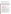under which the technology would be expected to operate, but it is not considered all inclusive. Details of the demonstration, including a data summary and a discussion of results may be found in the report entitled "The Site Characterization and Analysis Penetrometer System (SCAPS) Laser-Induced Fluorescence (LIF) Sensor and Support System."The EPA document number for this report is EPA/600/R-97/019.

### TECHNOLOGY DESCRIPTION

The SCAPS LIF system uses a pulsed nitrogen laser coupled with an optical detector to measure fluorescence via optical fibers. The measurement is made through a sapphire window on a probe that is pushed into the ground with a truck-mounted cone penetrometer testing (CPT) platform. The LIF method provides data on the in situ distribution of petroleum hydrocarbons based on the fluorescence response induced in the polycyclic aromatic hydrocarbon (PAH) compounds that are components of petroleum hydrocarbons. The method provides a "detect/non-detect" field screening capability relative to a detection limit derived for a specific fuel product on a site-specific soil matrix. The SCAPS LIF technique does not provide species-specific quantitation but can be used as a field screening, qualitative method which can also produce semi-quantitative results at concentrations within two orders of magnitude of its detection limit for fluorescent fuel hydrocarbons. The estimated cost of using the SCAPS LIF system varies between \$12 and \$20 per foot depending upon whether the operators provide a turnkey operation or the customer provides field deployment assistance. Under normal condition, 200 feet of pushes can be advanced per day.

#### VERIFICATION OF PERFORMANCE

The findings of the demonstration for each of the performance claims is as follows:

- The ROSTTM system was easily integrated with a conventional cone penetrometer truck. Full integration was accomplished in less than two hours.
- Push rate was 3ft/min. Data was collected every 0.2 ft or less if the cone was slowed or stopped.
- Average percent agreement with conventional analysis for both sites was 94 percent correct with 1 percent false positives and 5 percent false negatives.
- Good agreement with the pattern of contamination was derived from an analysis of the subsurface soil samples.
- All spectral data was stored and easily retrieved in real time.
- Real time sensor data acquisition was achieved during both demonstrations.

The results of the demonstrations satisfy the requirements set forth in the demonstration plan for the SCAPS LIF system. The system located the plume accurately with higher matching percentage than the developer claimed. The false negative rate for the combined demonstrations was 4.9 percent, nearly identical to the five percent claimed by the developer. Disagreements with the laboratory results were primarily confined to regions where contaminant concentration levels were close to the detection threshold. A portion of these discrepancies could be the result of variability in laboratory results where random errors are estimated to be in the range of 10 to 15 percent. The SCAPS rods and umbilical allow a maximum push of 150 ft without signal loss.

The SCAPS technology worked well in both the saturated and unsaturated zones. This may be an important feature at sites where it is necessary to delineate the continuity of the contamination across the interface. The main savings attributable to the SCAPS LIF system is that it can substantially reduce the number of wells drilled at a site. In a general site characterization effort, it can provide site characterization data in less time and far less expensively than conventional drilling and sampling. Investigation-derived wastes are minimal. This technology can provide useful, cost-effective data for environmental problem solving and decision making.

Undoubtedly, it will be employed in a variety of applications, ranging from serving as a complement to data generated in a fixed analytical laboratory to generating data that will stand alone in the decision